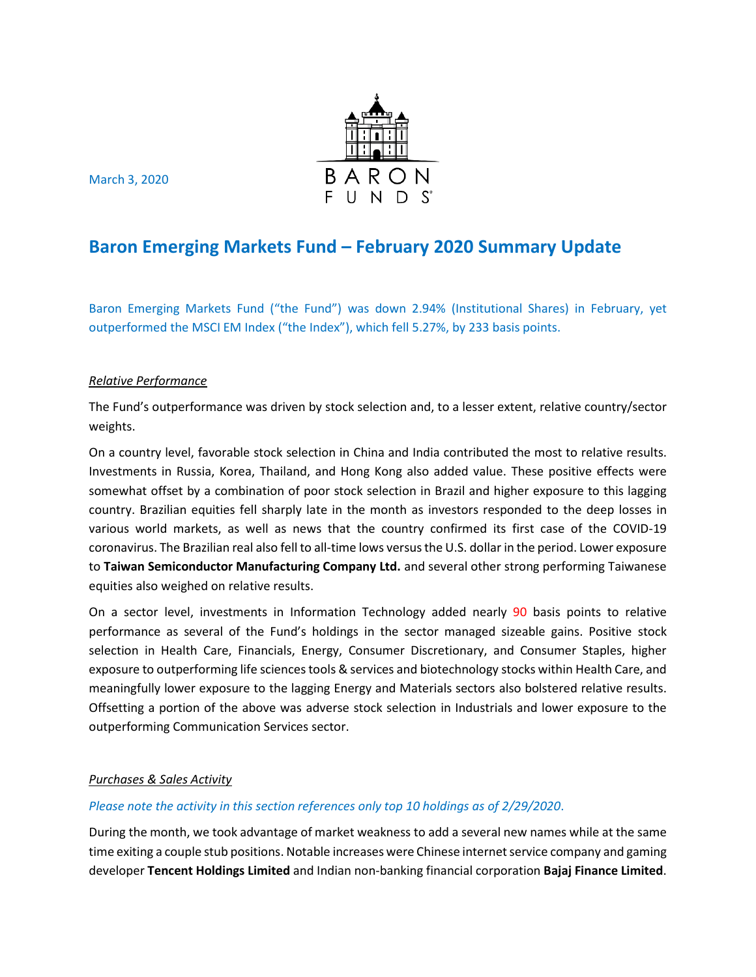

March 3, 2020

# **Baron Emerging Markets Fund – February 2020 Summary Update**

Baron Emerging Markets Fund ("the Fund") was down 2.94% (Institutional Shares) in February, yet outperformed the MSCI EM Index ("the Index"), which fell 5.27%, by 233 basis points.

## *Relative Performance*

The Fund's outperformance was driven by stock selection and, to a lesser extent, relative country/sector weights.

On a country level, favorable stock selection in China and India contributed the most to relative results. Investments in Russia, Korea, Thailand, and Hong Kong also added value. These positive effects were somewhat offset by a combination of poor stock selection in Brazil and higher exposure to this lagging country. Brazilian equities fell sharply late in the month as investors responded to the deep losses in various world markets, as well as news that the country confirmed its first case of the COVID-19 coronavirus. The Brazilian real also fell to all-time lows versus the U.S. dollar in the period. Lower exposure to **Taiwan Semiconductor Manufacturing Company Ltd.** and several other strong performing Taiwanese equities also weighed on relative results.

On a sector level, investments in Information Technology added nearly 90 basis points to relative performance as several of the Fund's holdings in the sector managed sizeable gains. Positive stock selection in Health Care, Financials, Energy, Consumer Discretionary, and Consumer Staples, higher exposure to outperforming life sciences tools & services and biotechnology stocks within Health Care, and meaningfully lower exposure to the lagging Energy and Materials sectors also bolstered relative results. Offsetting a portion of the above was adverse stock selection in Industrials and lower exposure to the outperforming Communication Services sector.

## *Purchases & Sales Activity*

## *Please note the activity in this section references only top 10 holdings as of 2/29/2020*.

During the month, we took advantage of market weakness to add a several new names while at the same time exiting a couple stub positions. Notable increases were Chinese internet service company and gaming developer **Tencent Holdings Limited** and Indian non-banking financial corporation **Bajaj Finance Limited**.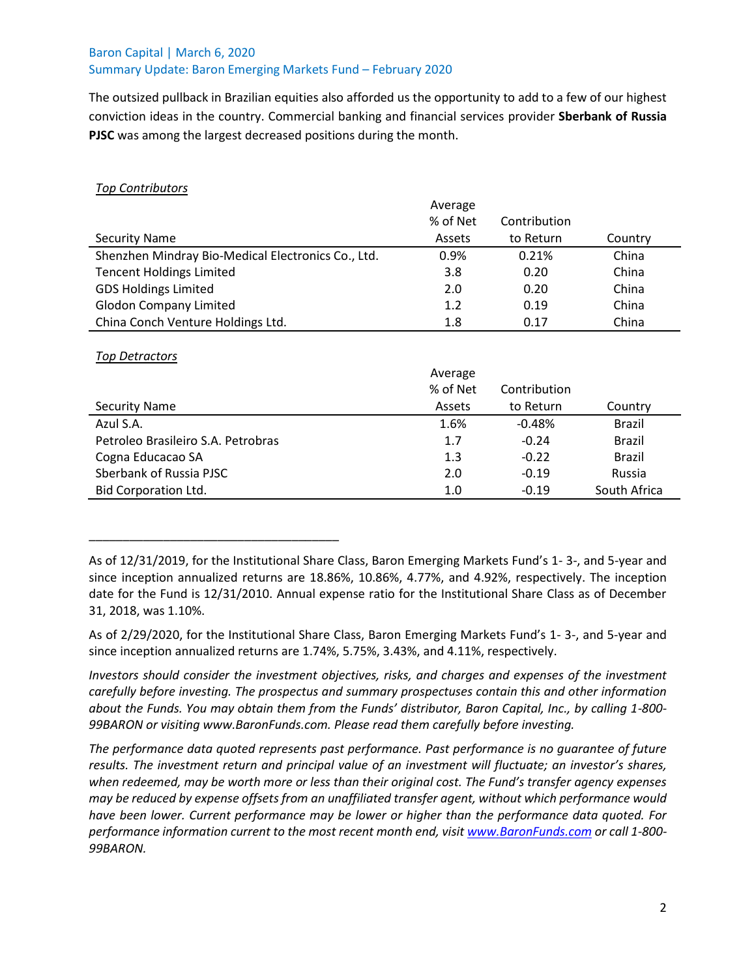## Baron Capital | March 6, 2020 Summary Update: Baron Emerging Markets Fund – February 2020

The outsized pullback in Brazilian equities also afforded us the opportunity to add to a few of our highest conviction ideas in the country. Commercial banking and financial services provider **Sberbank of Russia PJSC** was among the largest decreased positions during the month.

## *Top Contributors*

|                                                    | Average  |              |         |
|----------------------------------------------------|----------|--------------|---------|
|                                                    | % of Net | Contribution |         |
| <b>Security Name</b>                               | Assets   | to Return    | Country |
| Shenzhen Mindray Bio-Medical Electronics Co., Ltd. | 0.9%     | 0.21%        | China   |
| <b>Tencent Holdings Limited</b>                    | 3.8      | 0.20         | China   |
| <b>GDS Holdings Limited</b>                        | 2.0      | 0.20         | China   |
| <b>Glodon Company Limited</b>                      | 1.2      | 0.19         | China   |
| China Conch Venture Holdings Ltd.                  | 1.8      | 0.17         | China   |

## *Top Detractors*

\_\_\_\_\_\_\_\_\_\_\_\_\_\_\_\_\_\_\_\_\_\_\_\_\_\_\_\_\_\_\_\_\_\_\_\_\_

|                                    | Average  |              |               |
|------------------------------------|----------|--------------|---------------|
|                                    | % of Net | Contribution |               |
| <b>Security Name</b>               | Assets   | to Return    | Country       |
| Azul S.A.                          | 1.6%     | $-0.48%$     | <b>Brazil</b> |
| Petroleo Brasileiro S.A. Petrobras | 1.7      | $-0.24$      | <b>Brazil</b> |
| Cogna Educacao SA                  | 1.3      | $-0.22$      | <b>Brazil</b> |
| Sberbank of Russia PJSC            | 2.0      | $-0.19$      | Russia        |
| <b>Bid Corporation Ltd.</b>        | 1.0      | $-0.19$      | South Africa  |

As of 2/29/2020, for the Institutional Share Class, Baron Emerging Markets Fund's 1- 3-, and 5-year and since inception annualized returns are 1.74%, 5.75%, 3.43%, and 4.11%, respectively.

*Investors should consider the investment objectives, risks, and charges and expenses of the investment carefully before investing. The prospectus and summary prospectuses contain this and other information about the Funds. You may obtain them from the Funds' distributor, Baron Capital, Inc., by calling 1-800- 99BARON or visiting www.BaronFunds.com. Please read them carefully before investing.*

*The performance data quoted represents past performance. Past performance is no guarantee of future results. The investment return and principal value of an investment will fluctuate; an investor's shares, when redeemed, may be worth more or less than their original cost. The Fund's transfer agency expenses may be reduced by expense offsets from an unaffiliated transfer agent, without which performance would have been lower. Current performance may be lower or higher than the performance data quoted. For performance information current to the most recent month end, visi[t www.BaronFunds.com](http://www.baronfunds.com/) or call 1-800- 99BARON.*

As of 12/31/2019, for the Institutional Share Class, Baron Emerging Markets Fund's 1- 3-, and 5-year and since inception annualized returns are 18.86%, 10.86%, 4.77%, and 4.92%, respectively. The inception date for the Fund is 12/31/2010. Annual expense ratio for the Institutional Share Class as of December 31, 2018, was 1.10%.